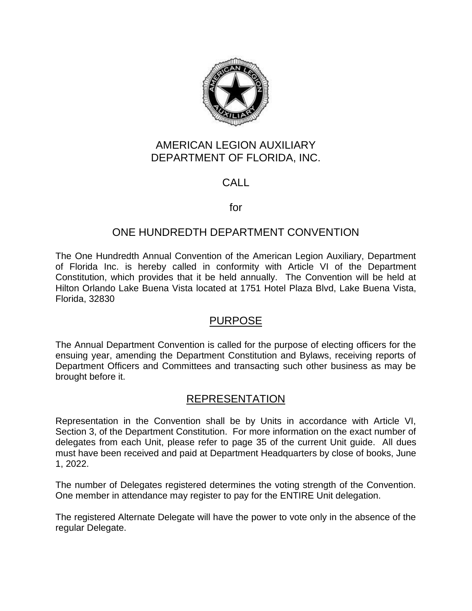

# AMERICAN LEGION AUXILIARY DEPARTMENT OF FLORIDA, INC.

# CALL

### for

# ONE HUNDREDTH DEPARTMENT CONVENTION

The One Hundredth Annual Convention of the American Legion Auxiliary, Department of Florida Inc. is hereby called in conformity with Article VI of the Department Constitution, which provides that it be held annually. The Convention will be held at Hilton Orlando Lake Buena Vista located at 1751 Hotel Plaza Blvd, Lake Buena Vista, Florida, 32830

# PURPOSE

The Annual Department Convention is called for the purpose of electing officers for the ensuing year, amending the Department Constitution and Bylaws, receiving reports of Department Officers and Committees and transacting such other business as may be brought before it.

# REPRESENTATION

Representation in the Convention shall be by Units in accordance with Article VI, Section 3, of the Department Constitution. For more information on the exact number of delegates from each Unit, please refer to page 35 of the current Unit guide. All dues must have been received and paid at Department Headquarters by close of books, June 1, 2022.

The number of Delegates registered determines the voting strength of the Convention. One member in attendance may register to pay for the ENTIRE Unit delegation.

The registered Alternate Delegate will have the power to vote only in the absence of the regular Delegate.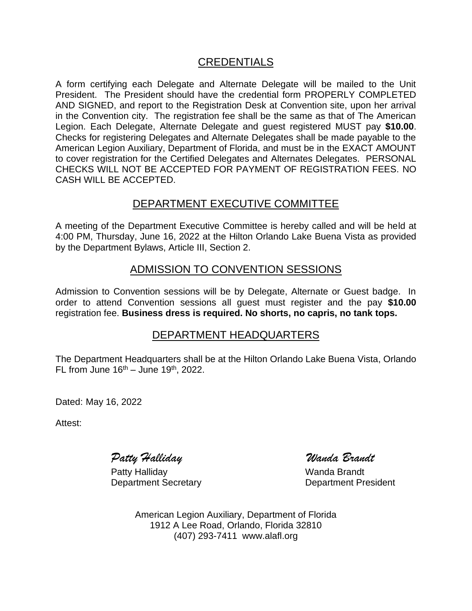# CREDENTIALS

A form certifying each Delegate and Alternate Delegate will be mailed to the Unit President. The President should have the credential form PROPERLY COMPLETED AND SIGNED, and report to the Registration Desk at Convention site, upon her arrival in the Convention city. The registration fee shall be the same as that of The American Legion. Each Delegate, Alternate Delegate and guest registered MUST pay **\$10.00**. Checks for registering Delegates and Alternate Delegates shall be made payable to the American Legion Auxiliary, Department of Florida, and must be in the EXACT AMOUNT to cover registration for the Certified Delegates and Alternates Delegates. PERSONAL CHECKS WILL NOT BE ACCEPTED FOR PAYMENT OF REGISTRATION FEES. NO CASH WILL BE ACCEPTED.

### DEPARTMENT EXECUTIVE COMMITTEE

A meeting of the Department Executive Committee is hereby called and will be held at 4:00 PM, Thursday, June 16, 2022 at the Hilton Orlando Lake Buena Vista as provided by the Department Bylaws, Article III, Section 2.

# ADMISSION TO CONVENTION SESSIONS

Admission to Convention sessions will be by Delegate, Alternate or Guest badge. In order to attend Convention sessions all guest must register and the pay **\$10.00** registration fee. **Business dress is required. No shorts, no capris, no tank tops.**

# DEPARTMENT HEADQUARTERS

The Department Headquarters shall be at the Hilton Orlando Lake Buena Vista, Orlando FL from June  $16<sup>th</sup> -$  June  $19<sup>th</sup>$ , 2022.

Dated: May 16, 2022

Attest:

*Patty Halliday Wanda Brandt*

Patty Halliday Nanda Brandt Department Secretary **Department President** 

American Legion Auxiliary, Department of Florida 1912 A Lee Road, Orlando, Florida 32810 (407) 293-7411 www.alafl.org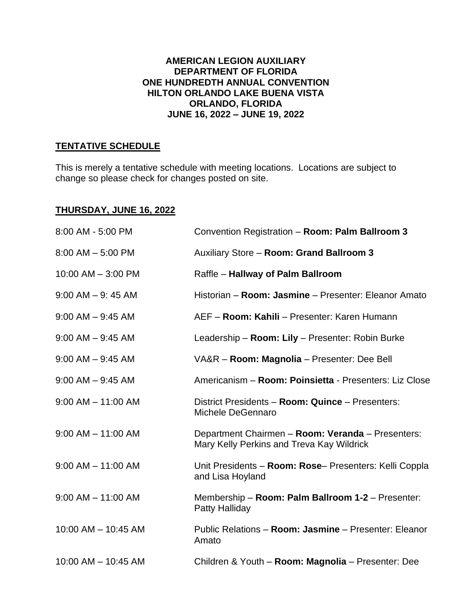#### **AMERICAN LEGION AUXILIARY DEPARTMENT OF FLORIDA ONE HUNDREDTH ANNUAL CONVENTION HILTON ORLANDO LAKE BUENA VISTA ORLANDO, FLORIDA JUNE 16, 2022 – JUNE 19, 2022**

### **TENTATIVE SCHEDULE**

This is merely a tentative schedule with meeting locations. Locations are subject to change so please check for changes posted on site.

#### **THURSDAY, JUNE 16, 2022**

| 8:00 AM - 5:00 PM      | Convention Registration - Room: Palm Ballroom 3                                                |
|------------------------|------------------------------------------------------------------------------------------------|
| $8:00$ AM $-5:00$ PM   | Auxiliary Store - Room: Grand Ballroom 3                                                       |
| 10:00 AM - 3:00 PM     | Raffle - Hallway of Palm Ballroom                                                              |
| $9:00$ AM $-9:45$ AM   | Historian - Room: Jasmine - Presenter: Eleanor Amato                                           |
| $9:00$ AM $-$ 9:45 AM  | AEF - Room: Kahili - Presenter: Karen Humann                                                   |
| $9:00$ AM $-$ 9:45 AM  | Leadership - Room: Lily - Presenter: Robin Burke                                               |
| $9:00$ AM $-$ 9:45 AM  | VA&R - Room: Magnolia - Presenter: Dee Bell                                                    |
| $9:00$ AM $-$ 9:45 AM  | Americanism - Room: Poinsietta - Presenters: Liz Close                                         |
| $9:00$ AM $-$ 11:00 AM | District Presidents - Room: Quince - Presenters:<br>Michele DeGennaro                          |
| $9:00$ AM $-$ 11:00 AM | Department Chairmen - Room: Veranda - Presenters:<br>Mary Kelly Perkins and Treva Kay Wildrick |
| $9:00$ AM $-$ 11:00 AM | Unit Presidents - Room: Rose- Presenters: Kelli Coppla<br>and Lisa Hoyland                     |
| $9:00$ AM $-$ 11:00 AM | Membership - Room: Palm Ballroom 1-2 - Presenter:<br>Patty Halliday                            |
| 10:00 AM - 10:45 AM    | Public Relations - Room: Jasmine - Presenter: Eleanor<br>Amato                                 |
| 10:00 AM - 10:45 AM    | Children & Youth - Room: Magnolia - Presenter: Dee                                             |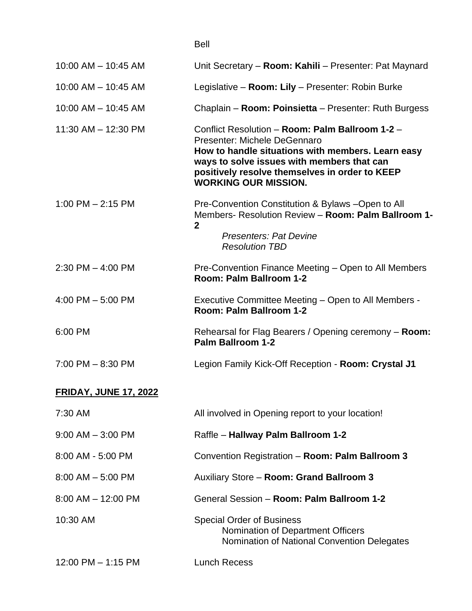|                              | <b>Bell</b>                                                                                                                                                                                                                                                         |
|------------------------------|---------------------------------------------------------------------------------------------------------------------------------------------------------------------------------------------------------------------------------------------------------------------|
| $10:00$ AM $- 10:45$ AM      | Unit Secretary - Room: Kahili - Presenter: Pat Maynard                                                                                                                                                                                                              |
| 10:00 AM - 10:45 AM          | Legislative - Room: Lily - Presenter: Robin Burke                                                                                                                                                                                                                   |
| $10:00$ AM $- 10:45$ AM      | Chaplain - Room: Poinsietta - Presenter: Ruth Burgess                                                                                                                                                                                                               |
| 11:30 AM - 12:30 PM          | Conflict Resolution - Room: Palm Ballroom 1-2 -<br>Presenter: Michele DeGennaro<br>How to handle situations with members. Learn easy<br>ways to solve issues with members that can<br>positively resolve themselves in order to KEEP<br><b>WORKING OUR MISSION.</b> |
| $1:00$ PM $- 2:15$ PM        | Pre-Convention Constitution & Bylaws -Open to All<br>Members- Resolution Review - Room: Palm Ballroom 1-<br>$\mathbf{2}$                                                                                                                                            |
|                              | <b>Presenters: Pat Devine</b><br><b>Resolution TBD</b>                                                                                                                                                                                                              |
| $2:30$ PM $-$ 4:00 PM        | Pre-Convention Finance Meeting – Open to All Members<br>Room: Palm Ballroom 1-2                                                                                                                                                                                     |
| 4:00 PM $-$ 5:00 PM          | Executive Committee Meeting – Open to All Members -<br>Room: Palm Ballroom 1-2                                                                                                                                                                                      |
| 6:00 PM                      | Rehearsal for Flag Bearers / Opening ceremony - Room:<br>Palm Ballroom 1-2                                                                                                                                                                                          |
| $7:00$ PM $- 8:30$ PM        | Legion Family Kick-Off Reception - Room: Crystal J1                                                                                                                                                                                                                 |
| <b>FRIDAY, JUNE 17, 2022</b> |                                                                                                                                                                                                                                                                     |
| 7:30 AM                      | All involved in Opening report to your location!                                                                                                                                                                                                                    |
| $9:00$ AM $-3:00$ PM         | Raffle - Hallway Palm Ballroom 1-2                                                                                                                                                                                                                                  |
| 8:00 AM - 5:00 PM            | Convention Registration - Room: Palm Ballroom 3                                                                                                                                                                                                                     |
| $8:00$ AM $-5:00$ PM         | Auxiliary Store - Room: Grand Ballroom 3                                                                                                                                                                                                                            |
| $8:00$ AM $-$ 12:00 PM       | General Session - Room: Palm Ballroom 1-2                                                                                                                                                                                                                           |
| 10:30 AM                     | <b>Special Order of Business</b><br>Nomination of Department Officers<br>Nomination of National Convention Delegates                                                                                                                                                |
| 12:00 PM - 1:15 PM           | <b>Lunch Recess</b>                                                                                                                                                                                                                                                 |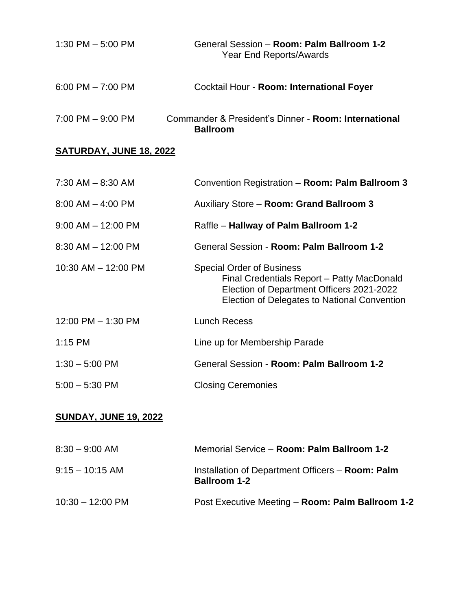| 1:30 PM $-$ 5:00 PM   | General Session - Room: Palm Ballroom 1-2<br>Year End Reports/Awards    |
|-----------------------|-------------------------------------------------------------------------|
| $6:00$ PM $- 7:00$ PM | Cocktail Hour - Room: International Foyer                               |
| $7:00$ PM $-9:00$ PM  | Commander & President's Dinner - Room: International<br><b>Ballroom</b> |

# **SATURDAY, JUNE 18, 2022**

| $7:30$ AM $-$ 8:30 AM  | Convention Registration - Room: Palm Ballroom 3                                                                                                                             |
|------------------------|-----------------------------------------------------------------------------------------------------------------------------------------------------------------------------|
| $8:00$ AM $-$ 4:00 PM  | <b>Auxiliary Store - Room: Grand Ballroom 3</b>                                                                                                                             |
| $9:00$ AM $-$ 12:00 PM | Raffle - Hallway of Palm Ballroom 1-2                                                                                                                                       |
| $8:30$ AM $-$ 12:00 PM | General Session - Room: Palm Ballroom 1-2                                                                                                                                   |
| 10:30 AM - 12:00 PM    | <b>Special Order of Business</b><br>Final Credentials Report - Patty MacDonald<br>Election of Department Officers 2021-2022<br>Election of Delegates to National Convention |
| 12:00 PM $-$ 1:30 PM   | <b>Lunch Recess</b>                                                                                                                                                         |
| $1:15$ PM              | Line up for Membership Parade                                                                                                                                               |
| $1:30 - 5:00$ PM       | General Session - Room: Palm Ballroom 1-2                                                                                                                                   |
| $5:00 - 5:30$ PM       | <b>Closing Ceremonies</b>                                                                                                                                                   |

### **SUNDAY, JUNE 19, 2022**

| $8:30 - 9:00$ AM           | Memorial Service - Room: Palm Ballroom 1-2                              |
|----------------------------|-------------------------------------------------------------------------|
| $9:15 - 10:15$ AM          | Installation of Department Officers - Room: Palm<br><b>Ballroom 1-2</b> |
| $10:30 - 12:00 \text{ PM}$ | Post Executive Meeting - Room: Palm Ballroom 1-2                        |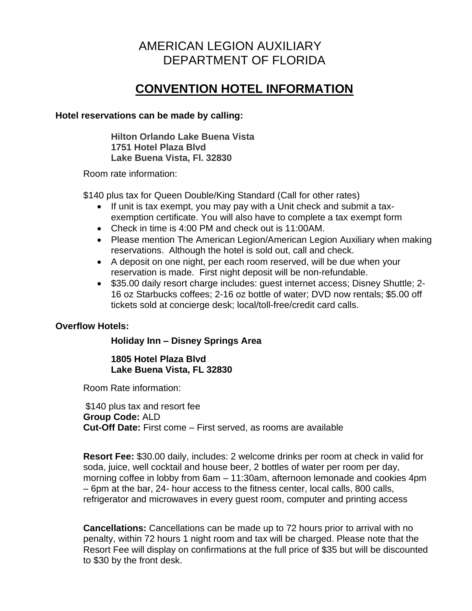# AMERICAN LEGION AUXILIARY DEPARTMENT OF FLORIDA

# **CONVENTION HOTEL INFORMATION**

#### **Hotel reservations can be made by calling:**

**Hilton Orlando Lake Buena Vista 1751 Hotel Plaza Blvd Lake Buena Vista, Fl. 32830**

Room rate information:

\$140 plus tax for Queen Double/King Standard (Call for other rates)

- If unit is tax exempt, you may pay with a Unit check and submit a taxexemption certificate. You will also have to complete a tax exempt form
- Check in time is 4:00 PM and check out is 11:00AM.
- Please mention The American Legion/American Legion Auxiliary when making reservations. Although the hotel is sold out, call and check.
- A deposit on one night, per each room reserved, will be due when your reservation is made. First night deposit will be non-refundable.
- \$35.00 daily resort charge includes: guest internet access; Disney Shuttle; 2- 16 oz Starbucks coffees; 2-16 oz bottle of water; DVD now rentals; \$5.00 off tickets sold at concierge desk; local/toll-free/credit card calls.

#### **Overflow Hotels:**

#### **Holiday Inn – Disney Springs Area**

**1805 Hotel Plaza Blvd Lake Buena Vista, FL 32830**

Room Rate information:

\$140 plus tax and resort fee **Group Code:** ALD **Cut-Off Date:** First come – First served, as rooms are available

**Resort Fee:** \$30.00 daily, includes: 2 welcome drinks per room at check in valid for soda, juice, well cocktail and house beer, 2 bottles of water per room per day, morning coffee in lobby from 6am – 11:30am, afternoon lemonade and cookies 4pm – 6pm at the bar, 24- hour access to the fitness center, local calls, 800 calls, refrigerator and microwaves in every guest room, computer and printing access

**Cancellations:** Cancellations can be made up to 72 hours prior to arrival with no penalty, within 72 hours 1 night room and tax will be charged. Please note that the Resort Fee will display on confirmations at the full price of \$35 but will be discounted to \$30 by the front desk.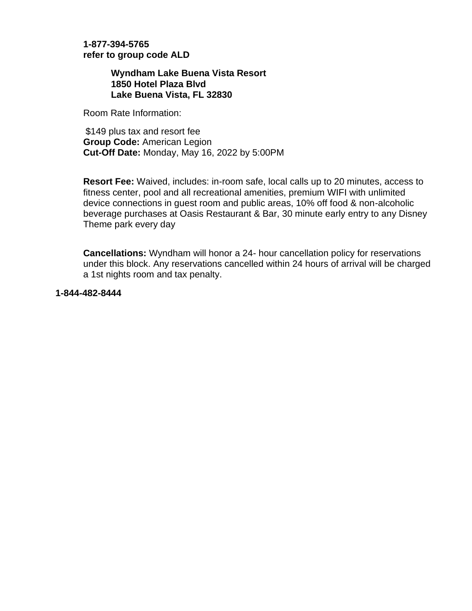#### **1-877-394-5765 refer to group code ALD**

**Wyndham Lake Buena Vista Resort 1850 Hotel Plaza Blvd Lake Buena Vista, FL 32830**

Room Rate Information:

\$149 plus tax and resort fee **Group Code:** American Legion **Cut-Off Date:** Monday, May 16, 2022 by 5:00PM

**Resort Fee:** Waived, includes: in-room safe, local calls up to 20 minutes, access to fitness center, pool and all recreational amenities, premium WIFI with unlimited device connections in guest room and public areas, 10% off food & non-alcoholic beverage purchases at Oasis Restaurant & Bar, 30 minute early entry to any Disney Theme park every day

**Cancellations:** Wyndham will honor a 24- hour cancellation policy for reservations under this block. Any reservations cancelled within 24 hours of arrival will be charged a 1st nights room and tax penalty.

**1-844-482-8444**